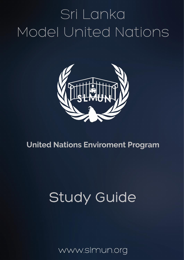# Sri Lanka Model United Nations



### **United Nations Enviroment Program**

## Study Guide

www.slmun.org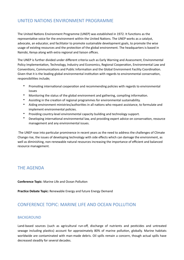#### UNITED NATIONS FNVIRONMENT PROGRAMME

The United Nations Environment Programme (UNEP) was established in 1972. It functions as the representative voice for the environment within the United Nations. The UNEP works as a catalyst, advocate, an educator, and facilitator to promote sustainable development goals, to promote the wise usage of existing resources and the protection of the global environment. The headquarters is based in Nairobi, Kenya along with extra regional and liaison offices.

The UNEP is further divided under different criteria such as Early Warning and Assessment, Environmental Policy Implementation, Technology, Industry and Economics, Regional Cooperation, Environmental Law and Conventions, Communications and Public Information and the Global Environment Facility Coordination. Given that it is the leading global environmental institution with regards to environmental conservation, responsibilities include;

- Promoting international cooperation and recommending policies with regards to environmental issues
- Monitoring the status of the global environment and gathering, compiling information.
- Assisting in the creation of regional programmes for environmental sustainability.
- Aiding environment ministries/authorities in all nations who request assistance, to formulate and implement environmental policies.
- Providing country-level environmental capacity building and technology support.
- Developing international environmental law, and providing expert advice on conservation, resource management and any environmental issues.

The UNEP rose into particular prominence in recent years as the need to address the challenges of Climate Change rise, the issues of developing technology with side effects which can damage the environment, as well as diminishing, non-renewable natural resources increasing the importance of efficient and balanced resource management.

#### **THE AGENDA**

**Conference Topic:** Marine Life and Ocean Pollution

**Practice Debate Topic:** Renewable Energy and future Energy Demand

#### CONFERENCE TOPIC: MARINE LIFE AND OCEAN POLLUTION

#### **BACKGROUND**

Land-based sources (such as agricultural run-off, discharge of nutrients and pesticides and untreated sewage including plastics) account for approximately 80% of marine pollution, globally. Marine habitats worldwide are contaminated with man-made debris. Oil spills remain a concern, though actual spills have decreased steadily for several decades.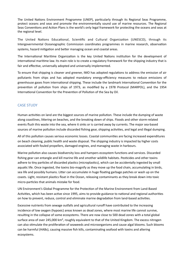The United Nations Environment Programme (UNEP), particularly through its Regional Seas Programme, protect oceans and seas and promote the environmentally sound use of marine resources. The Regional Seas Conventions and Action Plans is the world's only legal framework for protecting the oceans and seas at the regional level.

The United Nations Educational, Scientific and Cultural Organization (UNESCO), through its Intergovernmental Oceanographic Commission coordinates programmes in marine research, observation systems, hazard mitigation and better managing ocean and coastal areas.

The International Maritime Organization is the key United Nations institution for the development of international maritime law. Its main role is to create a regulatory framework for the shipping industry that is fair and effective, universally adopted and universally implemented.

To ensure that shipping is cleaner and greener, IMO has adopted regulations to address the emission of air pollutants from ships and has adopted mandatory energy-efficiency measures to reduce emissions of greenhouse gases from international shipping. These include the landmark International Convention for the prevention of pollution from ships of 1973, as modified by a 1978 Protocol (MARPOL), and the 1954 International Convention for the Prevention of Pollution of the Sea by Oil.

#### **CASE STUDY**

Human activities on land are the biggest sources of marine pollution. These include the dumping of waste along coastlines, littering on beaches, and the breaking down of ships. Floods and other storm-related events flush this waste into the sea, where it sinks or is carried away by currents. The major sea-based sources of marine pollution include discarded fishing gear, shipping activities, and legal and illegal dumping.

All of this pollution causes serious economic losses. Coastal communities are facing increased expenditures on beach cleaning, public health and waste disposal. The shipping industry is impacted by higher costs associated with fouled propellers, damaged engines, and managing waste in harbours.

Marine pollution also causes biodiversity loss and hampers ecosystem functions and services. Discarded fishing gear can entangle and kill marine life and smother wildlife habitats. Pesticides and other toxins adhere to tiny particles of discarded plastics (microplastics), which can be accidentally ingested by small aquatic life. Once ingested, the toxins bio-magnify as they move up the food chain, accumulating in birds, sea life and possibly humans. Litter can accumulate in huge floating garbage patches or wash up on the coasts. Light, resistant plastics float in the Ocean, releasing contaminants as they break down into toxic micro-particles that animals mistake for food.

UN Environment's Global Programme for the Protection of the Marine Environment from Land-Based Activities, which has been active since 1995, aims to provide guidance to national and regional authorities on how to prevent, reduce, control and eliminate marine degradation from land-based activities.

Excessive nutrients from sewage outfalls and agricultural runoff have contributed to the increasing incidence of low oxygen (hypoxic) areas known as dead zones, where most marine life cannot survive, resulting in the collapse of some ecosystems. There are now close to 500 dead zones with a total global surface area of over 245,000 km<sup>2</sup>, roughly equivalent to that of the United Kingdom. The excess nitrogen can also stimulate the proliferation of seaweeds and microorganisms and cause algal blooms. Such blooms can be harmful (HABs), causing massive fish kills, contaminating seafood with toxins and altering ecosystems.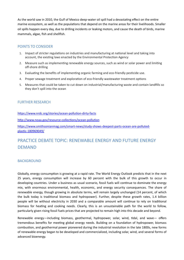As the world saw in 2010, the Gulf of Mexico deep-water oil spill had a devastating effect on the entire marine ecosystem, as well as the populations that depend on the marine areas for their livelihoods. Smaller oil spills happen every day, due to drilling incidents or leaking motors, and cause the death of birds, marine mammals, algae, fish and shellfish.

#### POINTS TO CONSIDER

- 1. Impact of stricter regulations on industries and manufacturing at national level and taking into account, the existing laws enacted by the Environmental Protection Agency
- 2. Measure such as implementing renewable energy sources, such as wind or solar power and limiting off-shore drilling
- 3. Evaluating the benefits of implementing organic farming and eco-friendly pesticide use.
- 4. Proper sewage treatment and exploration of eco-friendly wastewater treatment options
- 5. Measures that could be taken to cut down on industrial/manufacturing waste and contain landfills so they don't spill into the ocean

#### FURTHER RESEARCH

https://www.nrdc.org/stories/ocean-pollution-dirty-facts

http://www.noaa.gov/resource-collections/ocean-pollution

https://www.smithsonianmag.com/smart-news/study-shows-deepest-parts-ocean-are-pollutedplastic-180969049/

#### PRACTICE DEBATE TOPIC: RENEWABLE ENFRGY AND FUTURE ENFRGY DEMAND

#### **BACKGROUND**

Globally, energy consumption is growing at a rapid rate. The World Energy Outlook predicts that in the next 25 years, energy consumption will increase by 60 percent with the bulk of this growth to occur in developing countries. Under a business as usual scenario, fossil fuels will continue to dominate the energy mix, with enormous environmental, health, economic, and energy security consequences. The share of renewable energy, though growing in absolute terms, will remain largely unchanged (14 percent, of which the bulk today is traditional biomass and hydropower). Further, despite these growth rates, 1.4 billion people will be without electricity in 2030 and a comparable amount will continue to rely on traditional biomass for heating and cooking needs. Clearly, this is an unsustainable path for the world to follow, particularly given rising fossil fuels prices that are projected to remain high into this decade and beyond.

Renewable energy—including biomass, geothermal, hydropower, solar, wind, tidal, and wave— offers tremendous benefits for meeting global energy needs. Building on a foundation of hydropower, biomass combustion, and geothermal power pioneered during the industrial revolution in the late 1800s, new forms of renewable energy began to be developed and commercialized, including solar, wind, and several forms of advanced bioenergy.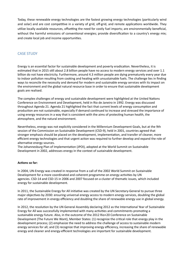Today, these renewable energy technologies are the fastest growing energy technologies (particularly wind and solar) and are cost competitive in a variety of grid, off-grid, and remote applications worldwide. They utilize locally available resources, offsetting the need for costly fuel imports; are environmentally beneficial, without the harmful emissions of conventional energies; provide diversification to a country's energy mix; and create local job and income opportunities.

#### **CASE STUDY**

Energy is an essential factor for sustainable development and poverty eradication. Nevertheless, it is estimated that in 2015 still about 2.8 billion people have no access to modern energy services and over 1.1 billion do not have electricity. Furthermore, around 4.3 million people are dying prematurely every year due to indoor pollution resulting from cooking and heating with unsustainable fuels. The challenge lies in finding ways to reconcile the necessity and demand for modern and sustainable energy services with its impact on the environment and the global natural resource base in order to ensure that sustainable development goals are realised.

The complex challenges of energy and sustainable development were highlighted at the United Nations Conference on Environment and Development, held in Rio de Janeiro in 1992. Energy was discussed throughout Agenda 21. Agenda 21 highlighted the fact that current levels of energy consumption and production are not sustainable, especially if demand continued to increase and stressed the importance of using energy resources in a way that is consistent with the aims of protecting human health, the atmosphere, and the natural environment.

Nevertheless, energy was not explicitly considered in the Millennium Development Goals, but at the 9th session of the Commission on Sustainable Development (CSD-9), held in 2001, countries agreed that stronger emphasis should be placed on the development, implementation, and transfer of cleaner, more efficient energy technologies and that urgent action was required to further develop and expand the role of alternative energy sources.

The Johannesburg Plan of Implementation (JPOI), adopted at the World Summit on Sustainable Development in 2002, addresses energy in the context of sustainable development.

#### **Actions so far:**

In 2004, UN-Energy was created in response from a call of the 2002 World Summit on Sustainable Development for a more coordinated and coherent programme on energy activities by UN agencies. [CSD-14](https://sustainabledevelopment.un.org/topics/intergovernmental/csd14) and [CSD-15](https://sustainabledevelopment.un.org/topics/intergovernmental/csd15) in 2006 and 2007 focused on a cluster of thematic issues, which included energy for sustainable development.

In 2011, the Sustainable Energy for All initiative was created by the UN Secretary-General to pursue three major objectives by 2030: ensuring universal energy access to modern energy services, doubling the global rate of improvement in energy efficiency and doubling the share of renewable energy use in global energy.

In 2012, the resolution by the UN General Assembly declaring 2012 as the International Year of Sustainable Energy for All was successfully implemented with many activities and commitments promoting a sustainable energy future. Also, in the outcome of the 2012 Rio+20 Conference on Sustainable Development (The Future We Want), Member States: (1) recognize the critical role that energy play in the development process; (2) emphasize the need to address the challenge of access to sustainable modern energy services for all; and (3) recognize that improving energy efficiency, increasing the share of renewable energy and cleaner and energy-efficient technologies are important for sustainable development.